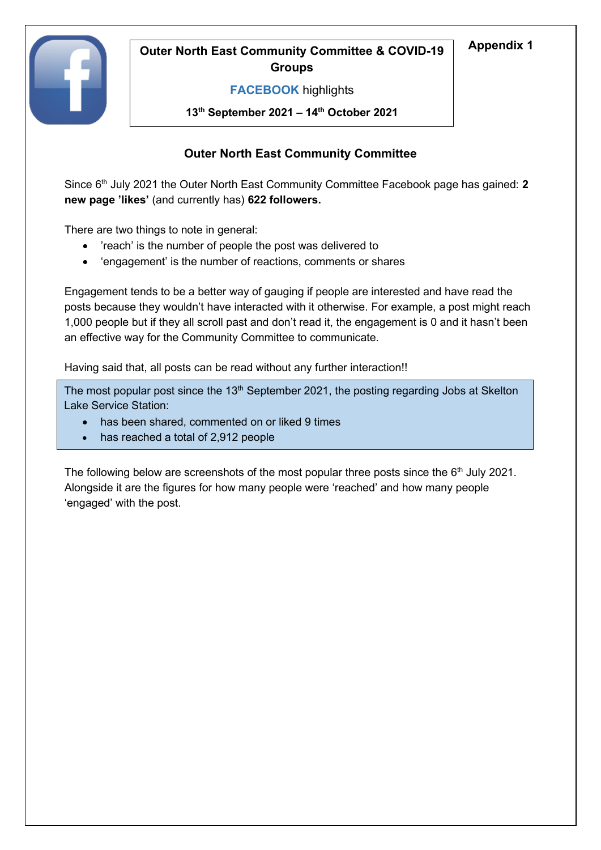

# **Appendix 1 Outer North East Community Committee & COVID-19 Groups**

### **FACEBOOK** highlights

**13th September 2021 – 14th October 2021**

## **Outer North East Community Committee**

Since 6<sup>th</sup> July 2021 the Outer North East Community Committee Facebook page has gained: 2 **new page 'likes'** (and currently has) **622 followers.**

There are two things to note in general:

- 'reach' is the number of people the post was delivered to
- 'engagement' is the number of reactions, comments or shares

Engagement tends to be a better way of gauging if people are interested and have read the posts because they wouldn't have interacted with it otherwise. For example, a post might reach 1,000 people but if they all scroll past and don't read it, the engagement is 0 and it hasn't been an effective way for the Community Committee to communicate.

Having said that, all posts can be read without any further interaction!!

The most popular post since the  $13<sup>th</sup>$  September 2021, the posting regarding Jobs at Skelton Lake Service Station:

- has been shared, commented on or liked 9 times
- has reached a total of 2,912 people

The following below are screenshots of the most popular three posts since the  $6<sup>th</sup>$  July 2021. Alongside it are the figures for how many people were 'reached' and how many people 'engaged' with the post.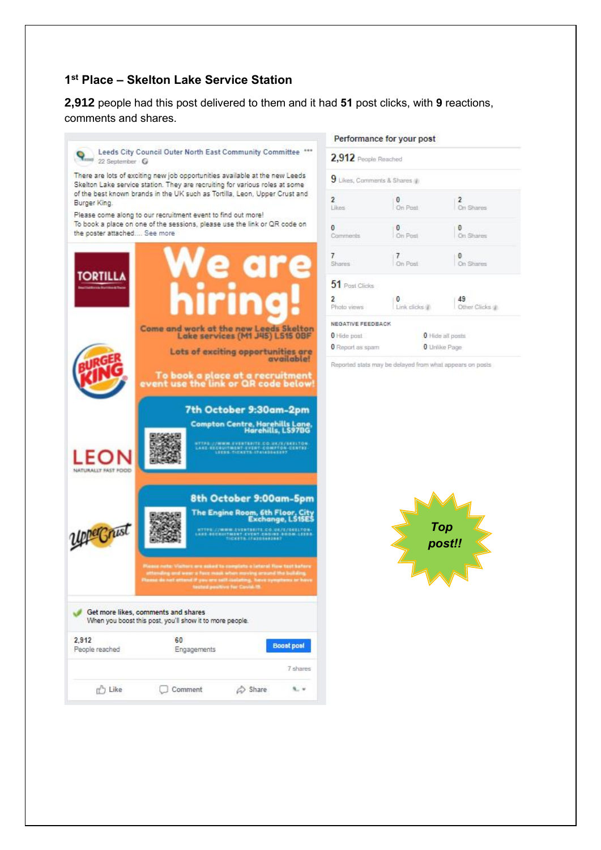### **1 st Place – Skelton Lake Service Station**

**2,912** people had this post delivered to them and it had **51** post clicks, with **9** reactions, comments and shares.



#### Performance for your post

*Top post!!*

 $\overline{2}$ 

 $\ddot{\mathbf{0}}$ 

 $\mathbf{0}$ 

0 Hide all posts **0** Unitie Page

On Shares

On Shares

On Shares

49<br>Other Clicks all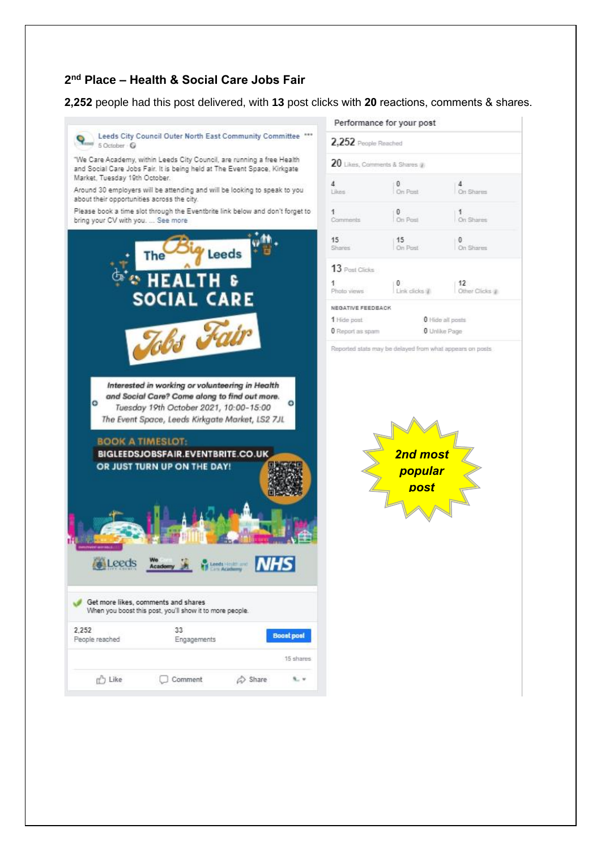### **2 nd Place – Health & Social Care Jobs Fair**

**2,252** people had this post delivered, with **13** post clicks with **20** reactions, comments & shares.



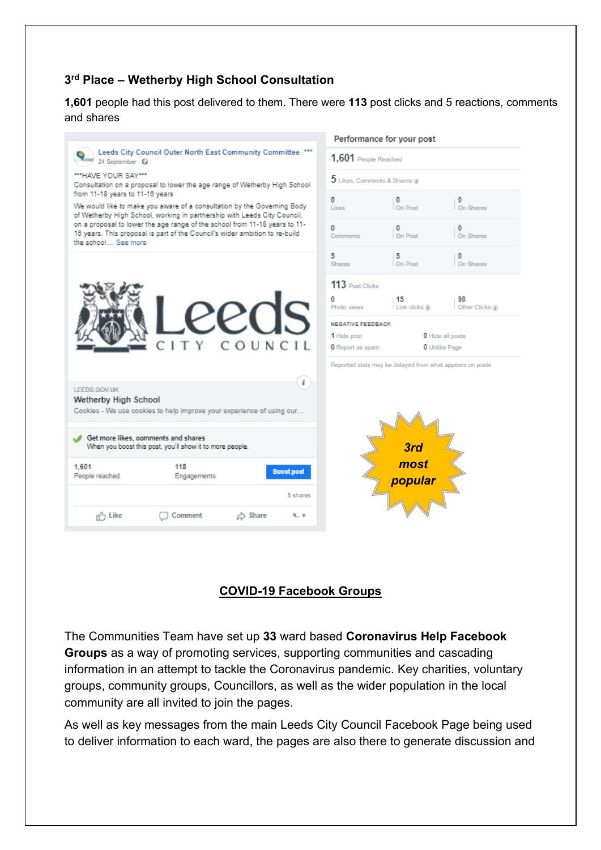### **3 rd Place – Wetherby High School Consultation**

**1,601** people had this post delivered to them. There were **113** post clicks and 5 reactions, comments and shares

|                                                                                                                                                                                                                                                                                                                                                                                                                                                                                | Performance for your post                                            |
|--------------------------------------------------------------------------------------------------------------------------------------------------------------------------------------------------------------------------------------------------------------------------------------------------------------------------------------------------------------------------------------------------------------------------------------------------------------------------------|----------------------------------------------------------------------|
| Leeds City Council Outer North East Community Committee ***<br>24 September - O                                                                                                                                                                                                                                                                                                                                                                                                | $1,601$ People Reached                                               |
| ***HAVE YOUR SAY***<br>Consultation on a proposal to lower the age range of Wetherby High School<br>from 11-18 years to 11-16 years<br>We would like to make you aware of a consultation by the Governing Body<br>of Wetherby High School, working in partnership with Leeds City Council,<br>on a proposal to lower the age range of the school from 11-18 years to 11-<br>16 years. This proposal is part of the Council's wider ambition to re-build<br>the school See more | $5$ Likes, Comments & Shares $\mathbb Z$                             |
|                                                                                                                                                                                                                                                                                                                                                                                                                                                                                | 0<br>0<br>0<br>On Post<br>On Shares<br>Likee                         |
|                                                                                                                                                                                                                                                                                                                                                                                                                                                                                | 0<br>$\Omega$<br>On Post<br>On Shares<br>Comments                    |
|                                                                                                                                                                                                                                                                                                                                                                                                                                                                                | 5<br>5<br>0<br>On Post<br>On Shares<br><b>Shares</b>                 |
| COUNCIL                                                                                                                                                                                                                                                                                                                                                                                                                                                                        | 113 Post Clicks                                                      |
|                                                                                                                                                                                                                                                                                                                                                                                                                                                                                | 0<br>15<br>98<br>Link clicks (ii)<br>Other Clicks (a)<br>Photo views |
|                                                                                                                                                                                                                                                                                                                                                                                                                                                                                | NEGATIVE FEEDBACK                                                    |
|                                                                                                                                                                                                                                                                                                                                                                                                                                                                                | 1 Hide post<br><b>0</b> Hide all posts                               |
|                                                                                                                                                                                                                                                                                                                                                                                                                                                                                | <b>0</b> Report as spam<br><b>0</b> Unlike Page                      |
|                                                                                                                                                                                                                                                                                                                                                                                                                                                                                | Reported stats may be delayed from what appears on posts             |
| i<br>LEEDS.GOV.UK<br>Wetherby High School<br>Cookies - We use cookies to help improve your experience of using our                                                                                                                                                                                                                                                                                                                                                             |                                                                      |
|                                                                                                                                                                                                                                                                                                                                                                                                                                                                                |                                                                      |
| Get more likes, comments and shares<br>When you boost this post, you'll show it to more people.                                                                                                                                                                                                                                                                                                                                                                                | 3rd                                                                  |
| 1.601<br>118<br><b>Boost post</b><br>People reached<br>Engagements                                                                                                                                                                                                                                                                                                                                                                                                             | most<br>popular                                                      |
| 5 shares                                                                                                                                                                                                                                                                                                                                                                                                                                                                       |                                                                      |
| <sub>n</sub> <sup>n</sup> Like<br>Comment<br><b>△</b> Share<br><b>9. V</b>                                                                                                                                                                                                                                                                                                                                                                                                     |                                                                      |

# **COVID-19 Facebook Groups**

The Communities Team have set up **33** ward based **Coronavirus Help Facebook Groups** as a way of promoting services, supporting communities and cascading information in an attempt to tackle the Coronavirus pandemic. Key charities, voluntary groups, community groups, Councillors, as well as the wider population in the local community are all invited to join the pages.

As well as key messages from the main Leeds City Council Facebook Page being used to deliver information to each ward, the pages are also there to generate discussion and